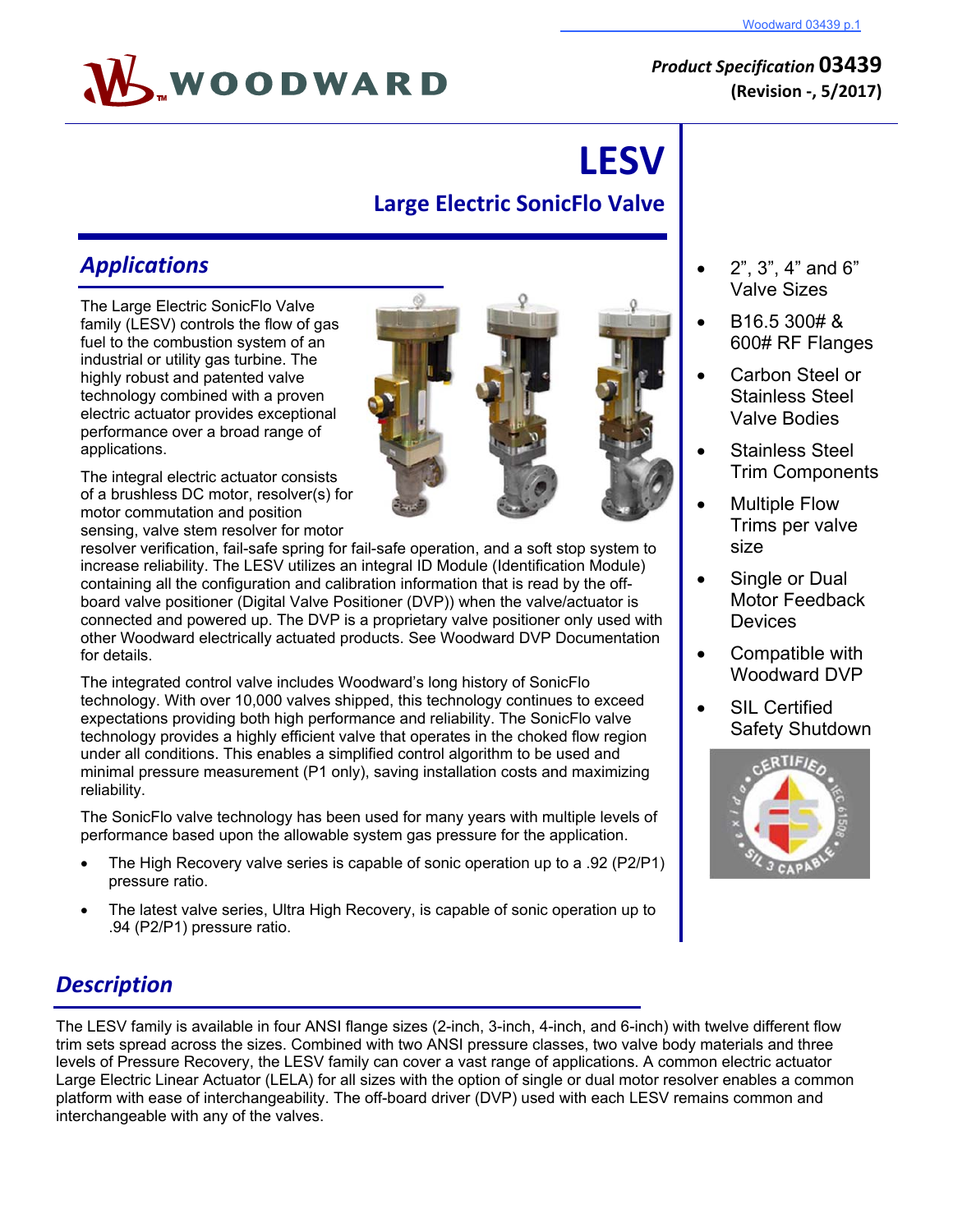

# **LESV Large Electric SonicFlo Valve**

## *Applications*

The Large Electric SonicFlo Valve family (LESV) controls the flow of gas fuel to the combustion system of an industrial or utility gas turbine. The highly robust and patented valve technology combined with a proven electric actuator provides exceptional performance over a broad range of applications.

The integral electric actuator consists of a brushless DC motor, resolver(s) for motor commutation and position sensing, valve stem resolver for motor

resolver verification, fail-safe spring for fail-safe operation, and a soft stop system to increase reliability. The LESV utilizes an integral ID Module (Identification Module) containing all the configuration and calibration information that is read by the offboard valve positioner (Digital Valve Positioner (DVP)) when the valve/actuator is connected and powered up. The DVP is a proprietary valve positioner only used with other Woodward electrically actuated products. See Woodward DVP Documentation for details.

The integrated control valve includes Woodward's long history of SonicFlo technology. With over 10,000 valves shipped, this technology continues to exceed expectations providing both high performance and reliability. The SonicFlo valve technology provides a highly efficient valve that operates in the choked flow region under all conditions. This enables a simplified control algorithm to be used and minimal pressure measurement (P1 only), saving installation costs and maximizing reliability.

The SonicFlo valve technology has been used for many years with multiple levels of performance based upon the allowable system gas pressure for the application.

- The High Recovery valve series is capable of sonic operation up to a .92 (P2/P1) pressure ratio.
- The latest valve series, Ultra High Recovery, is capable of sonic operation up to .94 (P2/P1) pressure ratio.

### 2", 3", 4" and 6" Valve Sizes

- B16.5 300# & 600# RF Flanges
- Carbon Steel or Stainless Steel Valve Bodies
- Stainless Steel Trim Components
- Multiple Flow Trims per valve size
- Single or Dual Motor Feedback **Devices**
- Compatible with Woodward DVP
- SIL Certified Safety Shutdown



# *Description*

The LESV family is available in four ANSI flange sizes (2-inch, 3-inch, 4-inch, and 6-inch) with twelve different flow trim sets spread across the sizes. Combined with two ANSI pressure classes, two valve body materials and three levels of Pressure Recovery, the LESV family can cover a vast range of applications. A common electric actuator Large Electric Linear Actuator (LELA) for all sizes with the option of single or dual motor resolver enables a common platform with ease of interchangeability. The off-board driver (DVP) used with each LESV remains common and interchangeable with any of the valves.

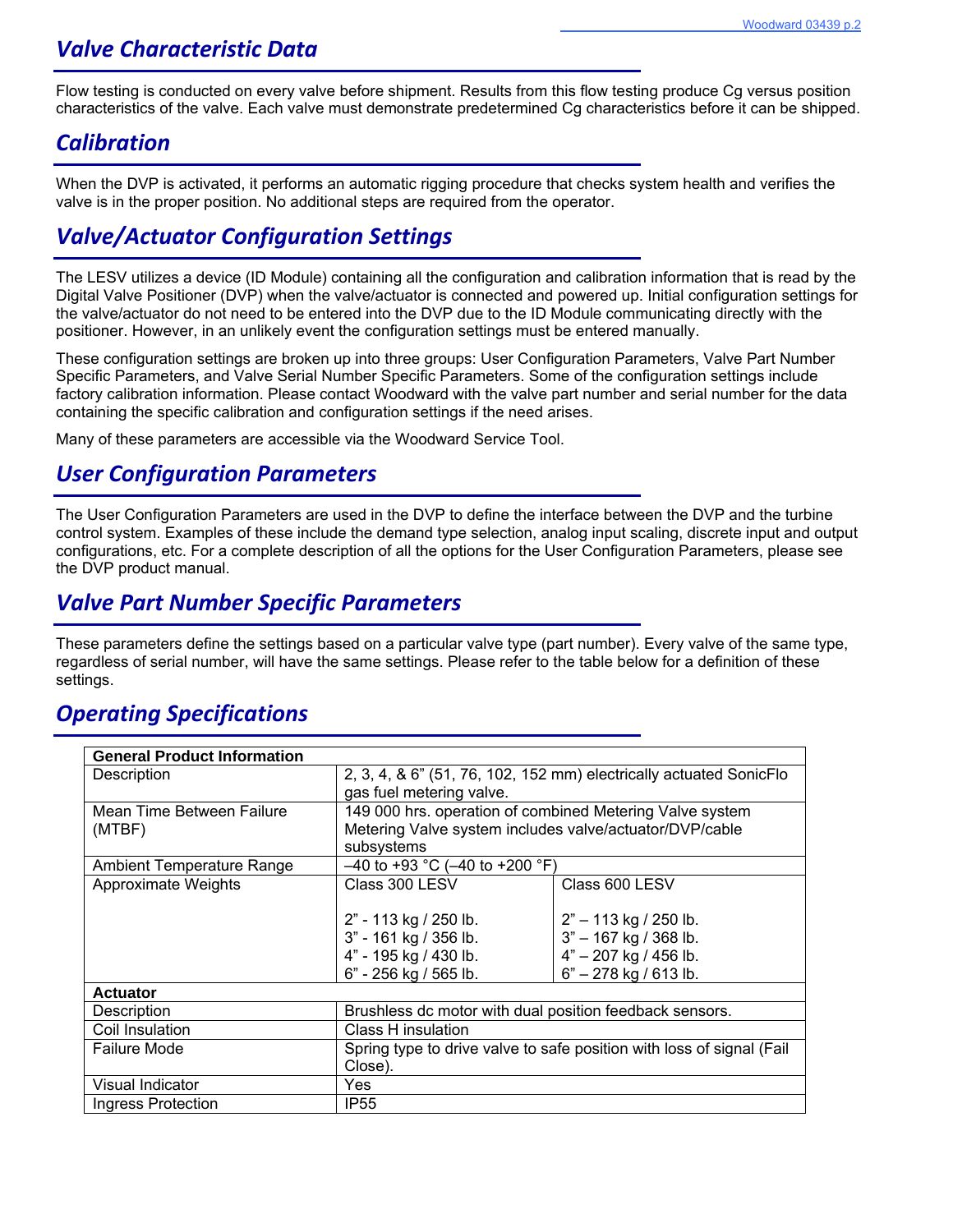### *Valve Characteristic Data*

Flow testing is conducted on every valve before shipment. Results from this flow testing produce Cg versus position characteristics of the valve. Each valve must demonstrate predetermined Cg characteristics before it can be shipped.

### *Calibration*

When the DVP is activated, it performs an automatic rigging procedure that checks system health and verifies the valve is in the proper position. No additional steps are required from the operator.

# *Valve/Actuator Configuration Settings*

The LESV utilizes a device (ID Module) containing all the configuration and calibration information that is read by the Digital Valve Positioner (DVP) when the valve/actuator is connected and powered up. Initial configuration settings for the valve/actuator do not need to be entered into the DVP due to the ID Module communicating directly with the positioner. However, in an unlikely event the configuration settings must be entered manually.

These configuration settings are broken up into three groups: User Configuration Parameters, Valve Part Number Specific Parameters, and Valve Serial Number Specific Parameters. Some of the configuration settings include factory calibration information. Please contact Woodward with the valve part number and serial number for the data containing the specific calibration and configuration settings if the need arises.

Many of these parameters are accessible via the Woodward Service Tool.

### *User Configuration Parameters*

The User Configuration Parameters are used in the DVP to define the interface between the DVP and the turbine control system. Examples of these include the demand type selection, analog input scaling, discrete input and output configurations, etc. For a complete description of all the options for the User Configuration Parameters, please see the DVP product manual.

### *Valve Part Number Specific Parameters*

These parameters define the settings based on a particular valve type (part number). Every valve of the same type, regardless of serial number, will have the same settings. Please refer to the table below for a definition of these settings.

### *Operating Specifications*

| <b>General Product Information</b> |                                                                       |                         |
|------------------------------------|-----------------------------------------------------------------------|-------------------------|
| Description                        | 2, 3, 4, & 6" (51, 76, 102, 152 mm) electrically actuated SonicFlo    |                         |
|                                    | gas fuel metering valve.                                              |                         |
|                                    |                                                                       |                         |
| Mean Time Between Failure          | 149 000 hrs. operation of combined Metering Valve system              |                         |
| (MTBF)                             | Metering Valve system includes valve/actuator/DVP/cable               |                         |
|                                    | subsystems                                                            |                         |
| Ambient Temperature Range          | $-40$ to +93 °C (-40 to +200 °F)                                      |                         |
| Approximate Weights                | Class 300 LESV                                                        | Class 600 LESV          |
|                                    |                                                                       |                         |
|                                    | 2" - 113 kg / 250 lb.                                                 | $2" - 113$ kg / 250 lb. |
|                                    | 3" - 161 kg / 356 lb.                                                 | 3" - 167 kg / 368 lb.   |
|                                    | 4" - 195 kg / 430 lb.                                                 | 4" - 207 kg / 456 lb.   |
|                                    | 6" - 256 kg / 565 lb.                                                 | $6" - 278$ kg / 613 lb. |
| <b>Actuator</b>                    |                                                                       |                         |
| Description                        | Brushless dc motor with dual position feedback sensors.               |                         |
| Coil Insulation                    | Class H insulation                                                    |                         |
| <b>Failure Mode</b>                | Spring type to drive valve to safe position with loss of signal (Fail |                         |
|                                    | Close).                                                               |                         |
| Visual Indicator                   | Yes                                                                   |                         |
| Ingress Protection                 | IP <sub>55</sub>                                                      |                         |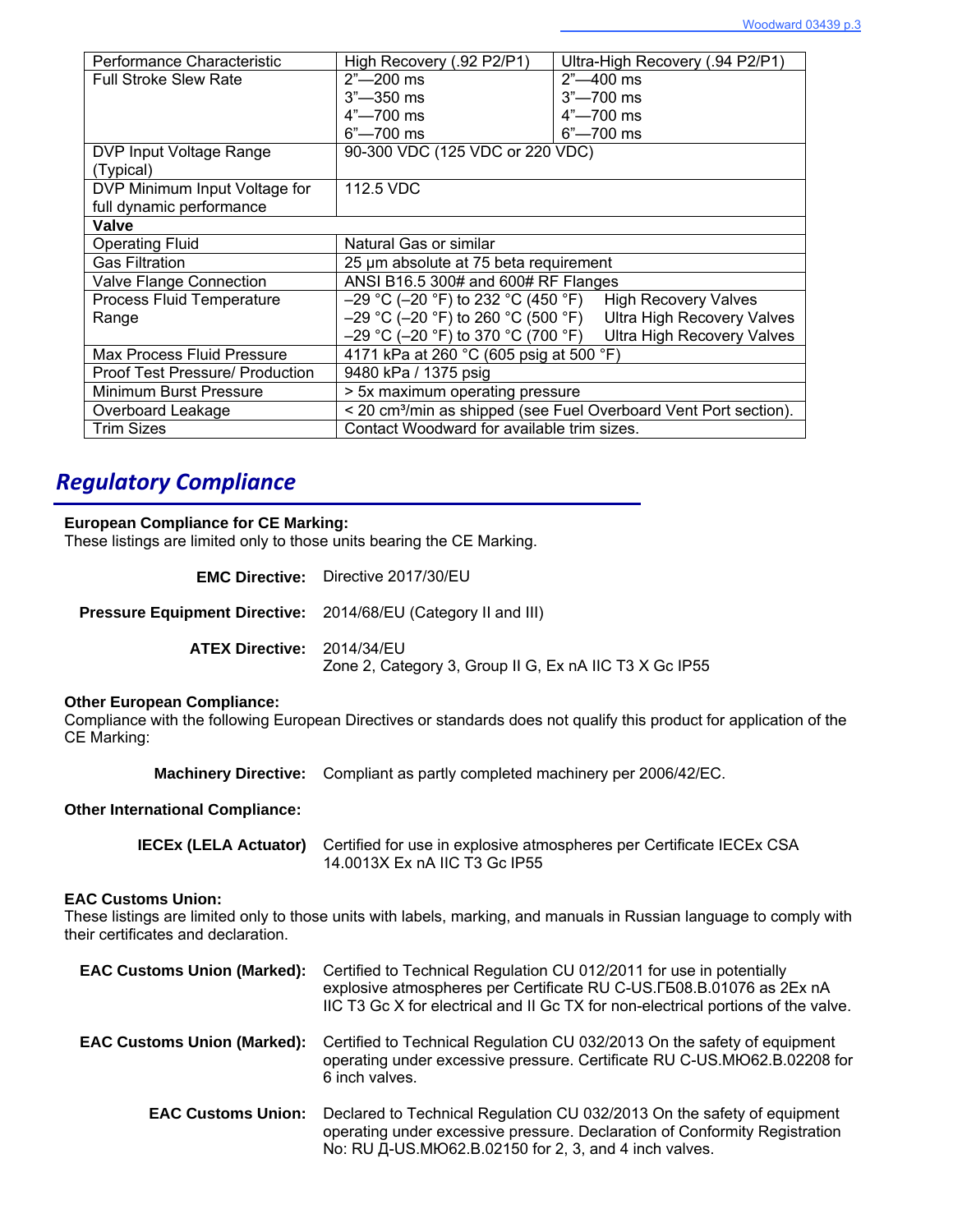| Performance Characteristic             | High Recovery (.92 P2/P1)                                                    | Ultra-High Recovery (.94 P2/P1)                                 |
|----------------------------------------|------------------------------------------------------------------------------|-----------------------------------------------------------------|
| <b>Full Stroke Slew Rate</b>           | $2" - 200$ ms                                                                | $2" - 400$ ms                                                   |
|                                        | $3^{\circ}$ -350 ms                                                          | $3" - 700$ ms                                                   |
|                                        | $4"$ —700 ms                                                                 | $4"$ —700 ms                                                    |
|                                        | $6"$ -700 ms                                                                 | $6" - 700$ ms                                                   |
| DVP Input Voltage Range                | 90-300 VDC (125 VDC or 220 VDC)                                              |                                                                 |
| (Typical)                              |                                                                              |                                                                 |
| DVP Minimum Input Voltage for          | 112.5 VDC                                                                    |                                                                 |
| full dynamic performance               |                                                                              |                                                                 |
| Valve                                  |                                                                              |                                                                 |
| <b>Operating Fluid</b>                 | Natural Gas or similar                                                       |                                                                 |
| <b>Gas Filtration</b>                  | 25 µm absolute at 75 beta requirement                                        |                                                                 |
| <b>Valve Flange Connection</b>         | ANSI B16.5 300# and 600# RF Flanges                                          |                                                                 |
| <b>Process Fluid Temperature</b>       | $-29$ °C (-20 °F) to 232 °C (450 °F) High Recovery Valves                    |                                                                 |
| Range                                  |                                                                              | -29 °C (-20 °F) to 260 °C (500 °F) Ultra High Recovery Valves   |
|                                        |                                                                              | $-29$ °C (-20 °F) to 370 °C (700 °F) Ultra High Recovery Valves |
| Max Process Fluid Pressure             | 4171 kPa at 260 °C (605 psig at 500 °F)                                      |                                                                 |
| <b>Proof Test Pressure/ Production</b> | 9480 kPa / 1375 psig                                                         |                                                                 |
| Minimum Burst Pressure                 | > 5x maximum operating pressure                                              |                                                                 |
| Overboard Leakage                      | < 20 cm <sup>3</sup> /min as shipped (see Fuel Overboard Vent Port section). |                                                                 |
| <b>Trim Sizes</b>                      | Contact Woodward for available trim sizes.                                   |                                                                 |

# *Regulatory Compliance*

### **European Compliance for CE Marking:**

These listings are limited only to those units bearing the CE Marking.

|                                                                | <b>EMC Directive:</b> Directive 2017/30/EU                                                                   |
|----------------------------------------------------------------|--------------------------------------------------------------------------------------------------------------|
| Pressure Equipment Directive: 2014/68/EU (Category II and III) |                                                                                                              |
| <b>ATEX Directive: 2014/34/EU</b>                              | Zone 2, Category 3, Group II G, Ex nA IIC T3 X Gc IP55                                                       |
| Other European Compliance:                                     | Compliance with the following European Directives or standards does not qualify this product for application |

#### **Other European Compliance:**

Compliance with the following European Directives or standards does not qualify this product for application of the CE Marking:

**Machinery Directive:** Compliant as partly completed machinery per 2006/42/EC.

#### **Other International Compliance:**

| <b>IECEx (LELA Actuator)</b> Certified for use in explosive atmospheres per Certificate IECEx CSA |
|---------------------------------------------------------------------------------------------------|
| 14.0013X Ex nA IIC T3 Gc IP55                                                                     |

### **EAC Customs Union:**

These listings are limited only to those units with labels, marking, and manuals in Russian language to comply with their certificates and declaration.

| <b>EAC Customs Union (Marked):</b> | Certified to Technical Regulation CU 012/2011 for use in potentially<br>explosive atmospheres per Certificate RU C-US. [508.B.01076 as 2Ex nA<br>IIC T3 Gc X for electrical and II Gc TX for non-electrical portions of the valve. |
|------------------------------------|------------------------------------------------------------------------------------------------------------------------------------------------------------------------------------------------------------------------------------|
| <b>EAC Customs Union (Marked):</b> | Certified to Technical Regulation CU 032/2013 On the safety of equipment<br>operating under excessive pressure. Certificate RU C-US.MIO62.B.02208 for<br>6 inch valves.                                                            |
| <b>EAC Customs Union:</b>          | Declared to Technical Regulation CU 032/2013 On the safety of equipment<br>operating under excessive pressure. Declaration of Conformity Registration<br>No: RU Д-US.MЮ62.B.02150 for 2, 3, and 4 inch valves.                     |